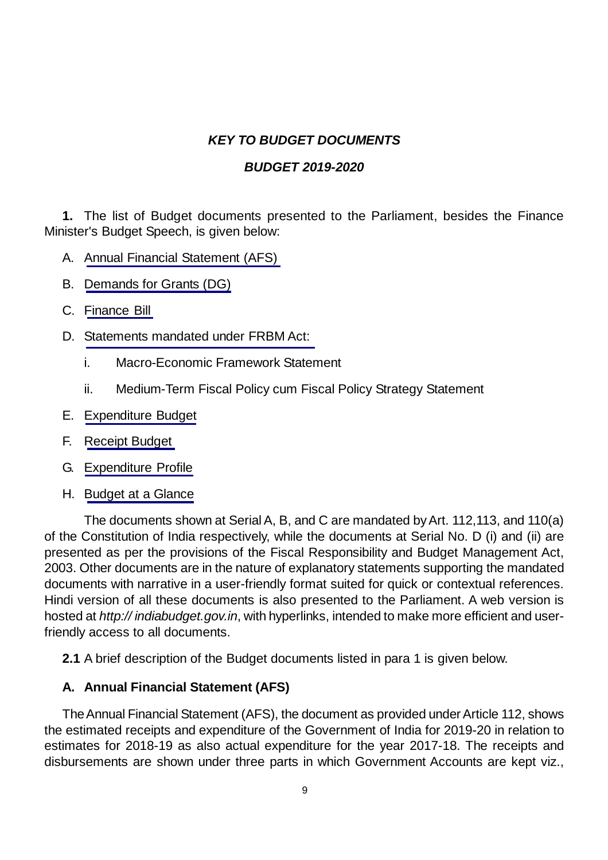# *KEY TO BUDGET DOCUMENTS*

### *BUDGET 2019-2020*

**1.** The list of Budget documents presented to the Parliament, besides the Finance Minister's Budget Speech, is given below:

- A. Annual Financial Statement (AFS)
- B. [Demands for Grants \(DG\)](#page-2-0)
- C. [Finance Bill](#page-3-0)
- D. [Statements mandated under FRBM Act:](#page-3-0)
	- i. Macro-Economic Framework Statement
	- ii. Medium-Term Fiscal Policy cum Fiscal Policy Strategy Statement
- E. [Expenditure Budget](#page-4-0)
- F. [Receipt Budget](#page-4-0)
- G. [Expenditure Profile](#page-5-0)
- H. [Budget at a Glance](#page-6-0)

The documents shown at Serial A, B, and C are mandated by Art. 112,113, and 110(a) of the Constitution of India respectively, while the documents at Serial No. D (i) and (ii) are presented as per the provisions of the Fiscal Responsibility and Budget Management Act, 2003. Other documents are in the nature of explanatory statements supporting the mandated documents with narrative in a user-friendly format suited for quick or contextual references. Hindi version of all these documents is also presented to the Parliament. A web version is hosted at *http:// indiabudget.gov.in*, with hyperlinks, intended to make more efficient and userfriendly access to all documents.

**2.1** A brief description of the Budget documents listed in para 1 is given below.

### **A. Annual Financial Statement (AFS)**

The Annual Financial Statement (AFS), the document as provided under Article 112, shows the estimated receipts and expenditure of the Government of India for 2019-20 in relation to estimates for 2018-19 as also actual expenditure for the year 2017-18. The receipts and disbursements are shown under three parts in which Government Accounts are kept viz.,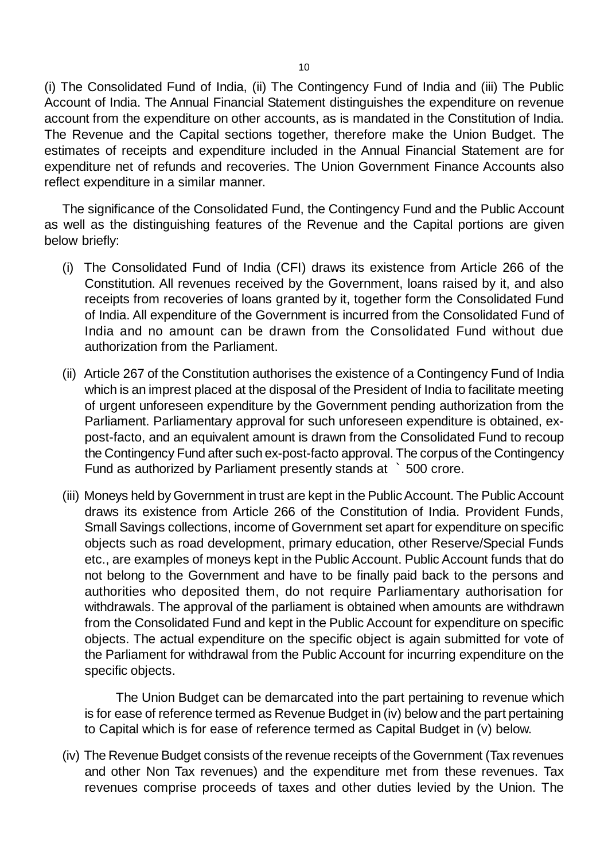(i) The Consolidated Fund of India, (ii) The Contingency Fund of India and (iii) The Public Account of India. The Annual Financial Statement distinguishes the expenditure on revenue account from the expenditure on other accounts, as is mandated in the Constitution of India. The Revenue and the Capital sections together, therefore make the Union Budget. The estimates of receipts and expenditure included in the Annual Financial Statement are for expenditure net of refunds and recoveries. The Union Government Finance Accounts also reflect expenditure in a similar manner.

The significance of the Consolidated Fund, the Contingency Fund and the Public Account as well as the distinguishing features of the Revenue and the Capital portions are given below briefly:

- (i) The Consolidated Fund of India (CFI) draws its existence from Article 266 of the Constitution. All revenues received by the Government, loans raised by it, and also receipts from recoveries of loans granted by it, together form the Consolidated Fund of India. All expenditure of the Government is incurred from the Consolidated Fund of India and no amount can be drawn from the Consolidated Fund without due authorization from the Parliament.
- (ii) Article 267 of the Constitution authorises the existence of a Contingency Fund of India which is an imprest placed at the disposal of the President of India to facilitate meeting of urgent unforeseen expenditure by the Government pending authorization from the Parliament. Parliamentary approval for such unforeseen expenditure is obtained, expost-facto, and an equivalent amount is drawn from the Consolidated Fund to recoup the Contingency Fund after such ex-post-facto approval. The corpus of the Contingency Fund as authorized by Parliament presently stands at ` 500 crore.
- (iii) Moneys held by Government in trust are kept in the Public Account. The Public Account draws its existence from Article 266 of the Constitution of India. Provident Funds, Small Savings collections, income of Government set apart for expenditure on specific objects such as road development, primary education, other Reserve/Special Funds etc., are examples of moneys kept in the Public Account. Public Account funds that do not belong to the Government and have to be finally paid back to the persons and authorities who deposited them, do not require Parliamentary authorisation for withdrawals. The approval of the parliament is obtained when amounts are withdrawn from the Consolidated Fund and kept in the Public Account for expenditure on specific objects. The actual expenditure on the specific object is again submitted for vote of the Parliament for withdrawal from the Public Account for incurring expenditure on the specific objects.

The Union Budget can be demarcated into the part pertaining to revenue which is for ease of reference termed as Revenue Budget in (iv) below and the part pertaining to Capital which is for ease of reference termed as Capital Budget in (v) below.

(iv) The Revenue Budget consists of the revenue receipts of the Government (Tax revenues and other Non Tax revenues) and the expenditure met from these revenues. Tax revenues comprise proceeds of taxes and other duties levied by the Union. The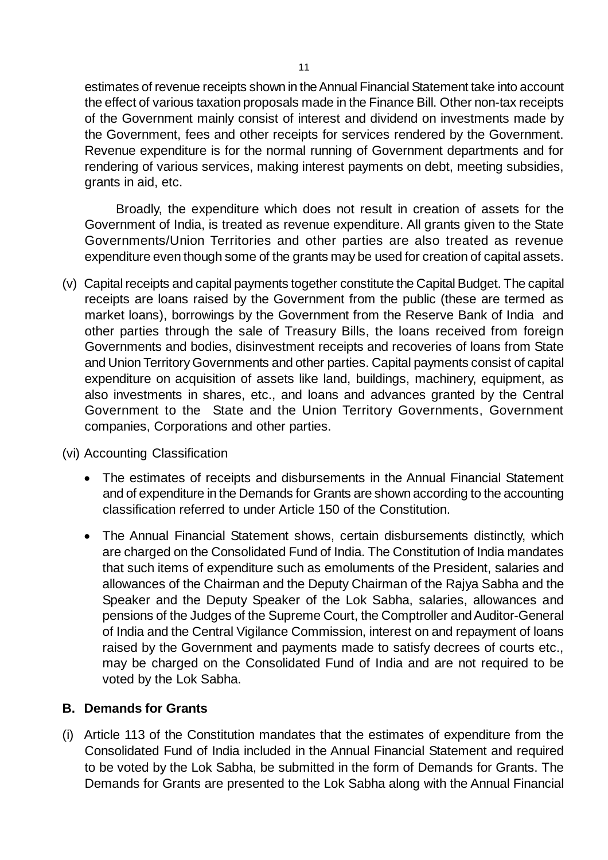<span id="page-2-0"></span>estimates of revenue receipts shown in the Annual Financial Statement take into account the effect of various taxation proposals made in the Finance Bill. Other non-tax receipts of the Government mainly consist of interest and dividend on investments made by the Government, fees and other receipts for services rendered by the Government. Revenue expenditure is for the normal running of Government departments and for rendering of various services, making interest payments on debt, meeting subsidies, grants in aid, etc.

Broadly, the expenditure which does not result in creation of assets for the Government of India, is treated as revenue expenditure. All grants given to the State Governments/Union Territories and other parties are also treated as revenue expenditure even though some of the grants may be used for creation of capital assets.

- (v) Capital receipts and capital payments together constitute the Capital Budget. The capital receipts are loans raised by the Government from the public (these are termed as market loans), borrowings by the Government from the Reserve Bank of India and other parties through the sale of Treasury Bills, the loans received from foreign Governments and bodies, disinvestment receipts and recoveries of loans from State and Union Territory Governments and other parties. Capital payments consist of capital expenditure on acquisition of assets like land, buildings, machinery, equipment, as also investments in shares, etc., and loans and advances granted by the Central Government to the State and the Union Territory Governments, Government companies, Corporations and other parties.
- (vi) Accounting Classification
	- The estimates of receipts and disbursements in the Annual Financial Statement and of expenditure in the Demands for Grants are shown according to the accounting classification referred to under Article 150 of the Constitution.
	- The Annual Financial Statement shows, certain disbursements distinctly, which are charged on the Consolidated Fund of India. The Constitution of India mandates that such items of expenditure such as emoluments of the President, salaries and allowances of the Chairman and the Deputy Chairman of the Rajya Sabha and the Speaker and the Deputy Speaker of the Lok Sabha, salaries, allowances and pensions of the Judges of the Supreme Court, the Comptroller and Auditor-General of India and the Central Vigilance Commission, interest on and repayment of loans raised by the Government and payments made to satisfy decrees of courts etc., may be charged on the Consolidated Fund of India and are not required to be voted by the Lok Sabha.

### **B. Demands for Grants**

(i) Article 113 of the Constitution mandates that the estimates of expenditure from the Consolidated Fund of India included in the Annual Financial Statement and required to be voted by the Lok Sabha, be submitted in the form of Demands for Grants. The Demands for Grants are presented to the Lok Sabha along with the Annual Financial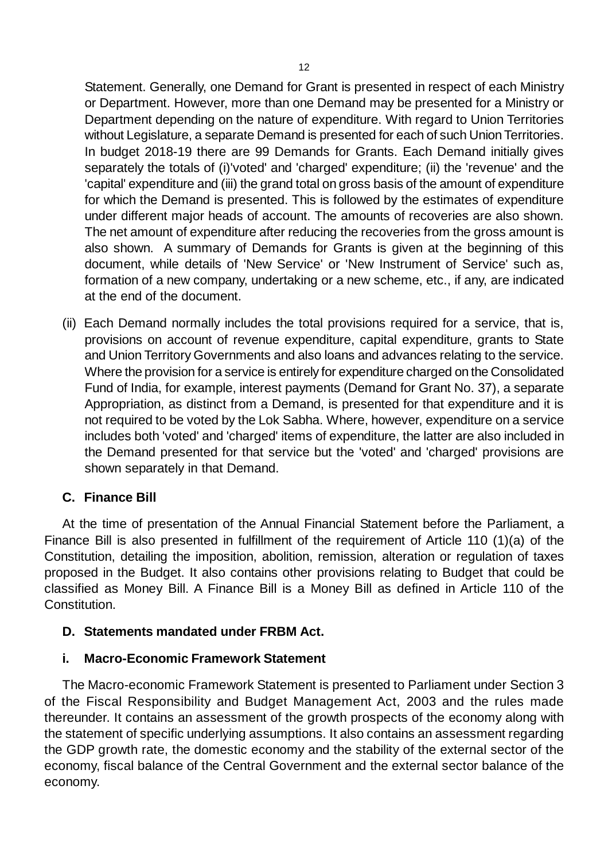<span id="page-3-0"></span>Statement. Generally, one Demand for Grant is presented in respect of each Ministry or Department. However, more than one Demand may be presented for a Ministry or Department depending on the nature of expenditure. With regard to Union Territories without Legislature, a separate Demand is presented for each of such Union Territories. In budget 2018-19 there are 99 Demands for Grants. Each Demand initially gives separately the totals of (i)'voted' and 'charged' expenditure; (ii) the 'revenue' and the 'capital' expenditure and (iii) the grand total on gross basis of the amount of expenditure for which the Demand is presented. This is followed by the estimates of expenditure under different major heads of account. The amounts of recoveries are also shown. The net amount of expenditure after reducing the recoveries from the gross amount is also shown. A summary of Demands for Grants is given at the beginning of this document, while details of 'New Service' or 'New Instrument of Service' such as, formation of a new company, undertaking or a new scheme, etc., if any, are indicated at the end of the document.

(ii) Each Demand normally includes the total provisions required for a service, that is, provisions on account of revenue expenditure, capital expenditure, grants to State and Union Territory Governments and also loans and advances relating to the service. Where the provision for a service is entirely for expenditure charged on the Consolidated Fund of India, for example, interest payments (Demand for Grant No. 37), a separate Appropriation, as distinct from a Demand, is presented for that expenditure and it is not required to be voted by the Lok Sabha. Where, however, expenditure on a service includes both 'voted' and 'charged' items of expenditure, the latter are also included in the Demand presented for that service but the 'voted' and 'charged' provisions are shown separately in that Demand.

### **C. Finance Bill**

At the time of presentation of the Annual Financial Statement before the Parliament, a Finance Bill is also presented in fulfillment of the requirement of Article 110 (1)(a) of the Constitution, detailing the imposition, abolition, remission, alteration or regulation of taxes proposed in the Budget. It also contains other provisions relating to Budget that could be classified as Money Bill. A Finance Bill is a Money Bill as defined in Article 110 of the Constitution.

### **D. Statements mandated under FRBM Act.**

#### **i. Macro-Economic Framework Statement**

The Macro-economic Framework Statement is presented to Parliament under Section 3 of the Fiscal Responsibility and Budget Management Act, 2003 and the rules made thereunder. It contains an assessment of the growth prospects of the economy along with the statement of specific underlying assumptions. It also contains an assessment regarding the GDP growth rate, the domestic economy and the stability of the external sector of the economy, fiscal balance of the Central Government and the external sector balance of the economy.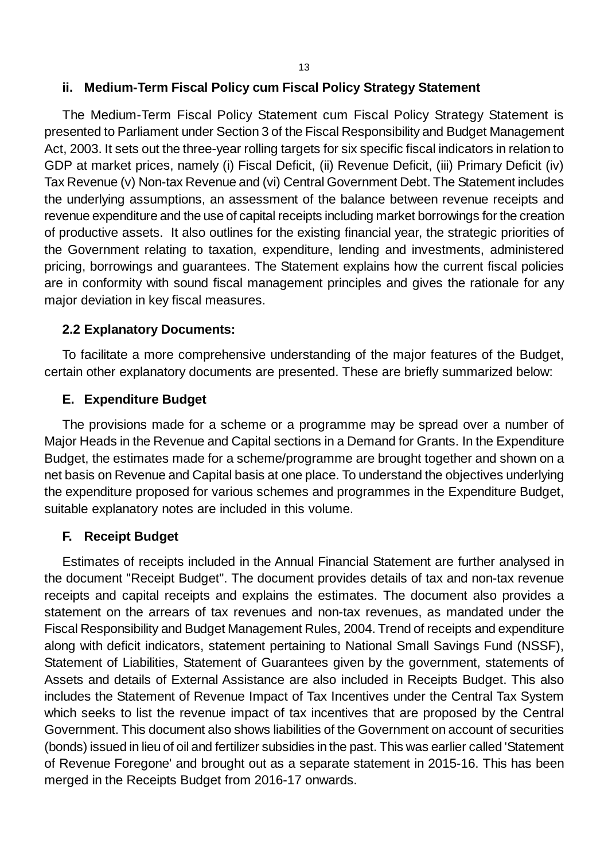#### <span id="page-4-0"></span>**ii. Medium-Term Fiscal Policy cum Fiscal Policy Strategy Statement**

The Medium-Term Fiscal Policy Statement cum Fiscal Policy Strategy Statement is presented to Parliament under Section 3 of the Fiscal Responsibility and Budget Management Act, 2003. It sets out the three-year rolling targets for six specific fiscal indicators in relation to GDP at market prices, namely (i) Fiscal Deficit, (ii) Revenue Deficit, (iii) Primary Deficit (iv) Tax Revenue (v) Non-tax Revenue and (vi) Central Government Debt. The Statement includes the underlying assumptions, an assessment of the balance between revenue receipts and revenue expenditure and the use of capital receipts including market borrowings for the creation of productive assets. It also outlines for the existing financial year, the strategic priorities of the Government relating to taxation, expenditure, lending and investments, administered pricing, borrowings and guarantees. The Statement explains how the current fiscal policies are in conformity with sound fiscal management principles and gives the rationale for any major deviation in key fiscal measures.

#### **2.2 Explanatory Documents:**

To facilitate a more comprehensive understanding of the major features of the Budget, certain other explanatory documents are presented. These are briefly summarized below:

### **E. Expenditure Budget**

The provisions made for a scheme or a programme may be spread over a number of Major Heads in the Revenue and Capital sections in a Demand for Grants. In the Expenditure Budget, the estimates made for a scheme/programme are brought together and shown on a net basis on Revenue and Capital basis at one place. To understand the objectives underlying the expenditure proposed for various schemes and programmes in the Expenditure Budget, suitable explanatory notes are included in this volume.

### **F. Receipt Budget**

Estimates of receipts included in the Annual Financial Statement are further analysed in the document "Receipt Budget". The document provides details of tax and non-tax revenue receipts and capital receipts and explains the estimates. The document also provides a statement on the arrears of tax revenues and non-tax revenues, as mandated under the Fiscal Responsibility and Budget Management Rules, 2004. Trend of receipts and expenditure along with deficit indicators, statement pertaining to National Small Savings Fund (NSSF), Statement of Liabilities, Statement of Guarantees given by the government, statements of Assets and details of External Assistance are also included in Receipts Budget. This also includes the Statement of Revenue Impact of Tax Incentives under the Central Tax System which seeks to list the revenue impact of tax incentives that are proposed by the Central Government. This document also shows liabilities of the Government on account of securities (bonds) issued in lieu of oil and fertilizer subsidies in the past. This was earlier called 'Statement of Revenue Foregone' and brought out as a separate statement in 2015-16. This has been merged in the Receipts Budget from 2016-17 onwards.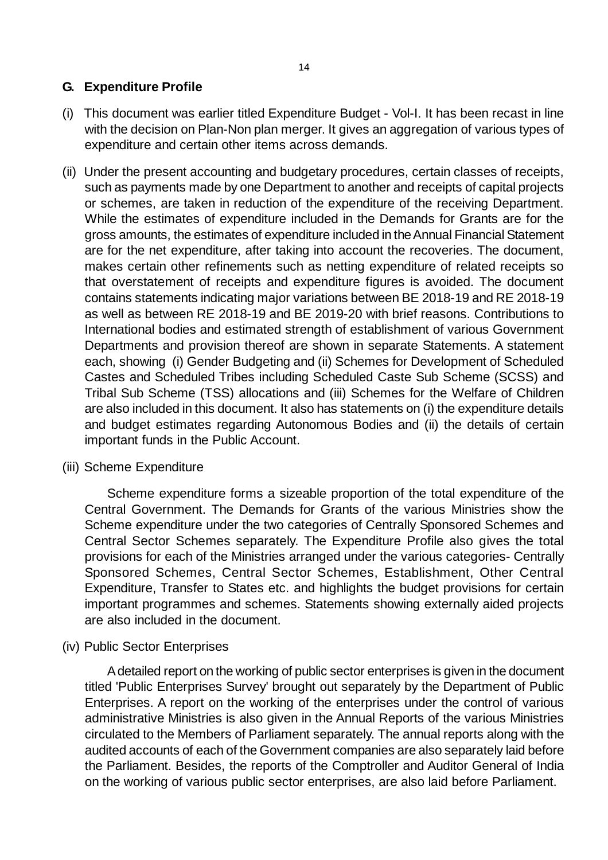## <span id="page-5-0"></span>**G. Expenditure Profile**

- (i) This document was earlier titled Expenditure Budget Vol-I. It has been recast in line with the decision on Plan-Non plan merger. It gives an aggregation of various types of expenditure and certain other items across demands.
- (ii) Under the present accounting and budgetary procedures, certain classes of receipts, such as payments made by one Department to another and receipts of capital projects or schemes, are taken in reduction of the expenditure of the receiving Department. While the estimates of expenditure included in the Demands for Grants are for the gross amounts, the estimates of expenditure included in the Annual Financial Statement are for the net expenditure, after taking into account the recoveries. The document, makes certain other refinements such as netting expenditure of related receipts so that overstatement of receipts and expenditure figures is avoided. The document contains statements indicating major variations between BE 2018-19 and RE 2018-19 as well as between RE 2018-19 and BE 2019-20 with brief reasons. Contributions to International bodies and estimated strength of establishment of various Government Departments and provision thereof are shown in separate Statements. A statement each, showing (i) Gender Budgeting and (ii) Schemes for Development of Scheduled Castes and Scheduled Tribes including Scheduled Caste Sub Scheme (SCSS) and Tribal Sub Scheme (TSS) allocations and (iii) Schemes for the Welfare of Children are also included in this document. It also has statements on (i) the expenditure details and budget estimates regarding Autonomous Bodies and (ii) the details of certain important funds in the Public Account.

### (iii) Scheme Expenditure

Scheme expenditure forms a sizeable proportion of the total expenditure of the Central Government. The Demands for Grants of the various Ministries show the Scheme expenditure under the two categories of Centrally Sponsored Schemes and Central Sector Schemes separately. The Expenditure Profile also gives the total provisions for each of the Ministries arranged under the various categories- Centrally Sponsored Schemes, Central Sector Schemes, Establishment, Other Central Expenditure, Transfer to States etc. and highlights the budget provisions for certain important programmes and schemes. Statements showing externally aided projects are also included in the document.

(iv) Public Sector Enterprises

A detailed report on the working of public sector enterprises is given in the document titled 'Public Enterprises Survey' brought out separately by the Department of Public Enterprises. A report on the working of the enterprises under the control of various administrative Ministries is also given in the Annual Reports of the various Ministries circulated to the Members of Parliament separately. The annual reports along with the audited accounts of each of the Government companies are also separately laid before the Parliament. Besides, the reports of the Comptroller and Auditor General of India on the working of various public sector enterprises, are also laid before Parliament.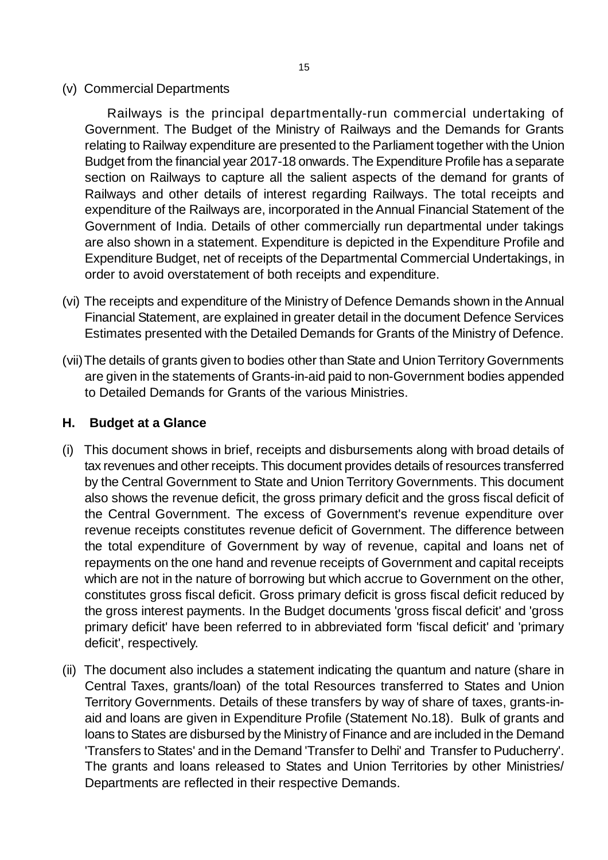<span id="page-6-0"></span>(v) Commercial Departments

Railways is the principal departmentally-run commercial undertaking of Government. The Budget of the Ministry of Railways and the Demands for Grants relating to Railway expenditure are presented to the Parliament together with the Union Budget from the financial year 2017-18 onwards. The Expenditure Profile has a separate section on Railways to capture all the salient aspects of the demand for grants of Railways and other details of interest regarding Railways. The total receipts and expenditure of the Railways are, incorporated in the Annual Financial Statement of the Government of India. Details of other commercially run departmental under takings are also shown in a statement. Expenditure is depicted in the Expenditure Profile and Expenditure Budget, net of receipts of the Departmental Commercial Undertakings, in order to avoid overstatement of both receipts and expenditure.

- (vi) The receipts and expenditure of the Ministry of Defence Demands shown in the Annual Financial Statement, are explained in greater detail in the document Defence Services Estimates presented with the Detailed Demands for Grants of the Ministry of Defence.
- (vii)The details of grants given to bodies other than State and Union Territory Governments are given in the statements of Grants-in-aid paid to non-Government bodies appended to Detailed Demands for Grants of the various Ministries.

#### **H. Budget at a Glance**

- (i) This document shows in brief, receipts and disbursements along with broad details of tax revenues and other receipts. This document provides details of resources transferred by the Central Government to State and Union Territory Governments. This document also shows the revenue deficit, the gross primary deficit and the gross fiscal deficit of the Central Government. The excess of Government's revenue expenditure over revenue receipts constitutes revenue deficit of Government. The difference between the total expenditure of Government by way of revenue, capital and loans net of repayments on the one hand and revenue receipts of Government and capital receipts which are not in the nature of borrowing but which accrue to Government on the other, constitutes gross fiscal deficit. Gross primary deficit is gross fiscal deficit reduced by the gross interest payments. In the Budget documents 'gross fiscal deficit' and 'gross primary deficit' have been referred to in abbreviated form 'fiscal deficit' and 'primary deficit', respectively.
- (ii) The document also includes a statement indicating the quantum and nature (share in Central Taxes, grants/loan) of the total Resources transferred to States and Union Territory Governments. Details of these transfers by way of share of taxes, grants-inaid and loans are given in Expenditure Profile (Statement No.18). Bulk of grants and loans to States are disbursed by the Ministry of Finance and are included in the Demand 'Transfers to States' and in the Demand 'Transfer to Delhi' and Transfer to Puducherry'. The grants and loans released to States and Union Territories by other Ministries/ Departments are reflected in their respective Demands.